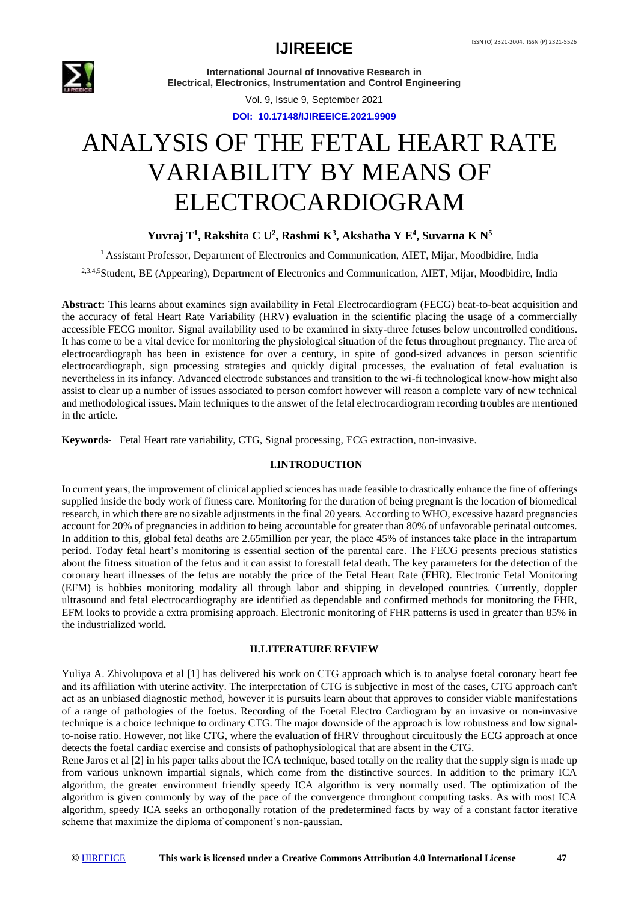## **IJIREEICE ISSN (O) 2321-2004, ISSN (P) 2321-5526**



**International Journal of Innovative Research in Electrical, Electronics, Instrumentation and Control Engineering**

Vol. 9, Issue 9, September 2021

**DOI: 10.17148/IJIREEICE.2021.9909**

# ANALYSIS OF THE FETAL HEART RATE VARIABILITY BY MEANS OF ELECTROCARDIOGRAM

### **Yuvraj T<sup>1</sup> , Rakshita C U<sup>2</sup> , Rashmi K<sup>3</sup> , Akshatha Y E<sup>4</sup> , Suvarna K N<sup>5</sup>**

<sup>1</sup> Assistant Professor, Department of Electronics and Communication, AIET, Mijar, Moodbidire, India

<sup>2,3,4,5</sup>Student, BE (Appearing), Department of Electronics and Communication, AIET, Mijar, Moodbidire, India

**Abstract:** This learns about examines sign availability in Fetal Electrocardiogram (FECG) beat-to-beat acquisition and the accuracy of fetal Heart Rate Variability (HRV) evaluation in the scientific placing the usage of a commercially accessible FECG monitor. Signal availability used to be examined in sixty-three fetuses below uncontrolled conditions. It has come to be a vital device for monitoring the physiological situation of the fetus throughout pregnancy. The area of electrocardiograph has been in existence for over a century, in spite of good-sized advances in person scientific electrocardiograph, sign processing strategies and quickly digital processes, the evaluation of fetal evaluation is nevertheless in its infancy. Advanced electrode substances and transition to the wi-fi technological know-how might also assist to clear up a number of issues associated to person comfort however will reason a complete vary of new technical and methodological issues. Main techniques to the answer of the fetal electrocardiogram recording troubles are mentioned in the article.

**Keywords-** Fetal Heart rate variability, CTG, Signal processing, ECG extraction, non-invasive.

#### **I.INTRODUCTION**

In current years, the improvement of clinical applied sciences has made feasible to drastically enhance the fine of offerings supplied inside the body work of fitness care. Monitoring for the duration of being pregnant is the location of biomedical research, in which there are no sizable adjustments in the final 20 years. According to WHO, excessive hazard pregnancies account for 20% of pregnancies in addition to being accountable for greater than 80% of unfavorable perinatal outcomes. In addition to this, global fetal deaths are 2.65million per year, the place 45% of instances take place in the intrapartum period. Today fetal heart's monitoring is essential section of the parental care. The FECG presents precious statistics about the fitness situation of the fetus and it can assist to forestall fetal death. The key parameters for the detection of the coronary heart illnesses of the fetus are notably the price of the Fetal Heart Rate (FHR). Electronic Fetal Monitoring (EFM) is hobbies monitoring modality all through labor and shipping in developed countries. Currently, doppler ultrasound and fetal electrocardiography are identified as dependable and confirmed methods for monitoring the FHR, EFM looks to provide a extra promising approach. Electronic monitoring of FHR patterns is used in greater than 85% in the industrialized world**.**

#### **II.LITERATURE REVIEW**

Yuliya A. Zhivolupova et al [1] has delivered his work on CTG approach which is to analyse foetal coronary heart fee and its affiliation with uterine activity. The interpretation of CTG is subjective in most of the cases, CTG approach can't act as an unbiased diagnostic method, however it is pursuits learn about that approves to consider viable manifestations of a range of pathologies of the foetus. Recording of the Foetal Electro Cardiogram by an invasive or non-invasive technique is a choice technique to ordinary CTG. The major downside of the approach is low robustness and low signalto-noise ratio. However, not like CTG, where the evaluation of fHRV throughout circuitously the ECG approach at once detects the foetal cardiac exercise and consists of pathophysiological that are absent in the CTG.

Rene Jaros et al [2] in his paper talks about the ICA technique, based totally on the reality that the supply sign is made up from various unknown impartial signals, which come from the distinctive sources. In addition to the primary ICA algorithm, the greater environment friendly speedy ICA algorithm is very normally used. The optimization of the algorithm is given commonly by way of the pace of the convergence throughout computing tasks. As with most ICA algorithm, speedy ICA seeks an orthogonally rotation of the predetermined facts by way of a constant factor iterative scheme that maximize the diploma of component's non-gaussian.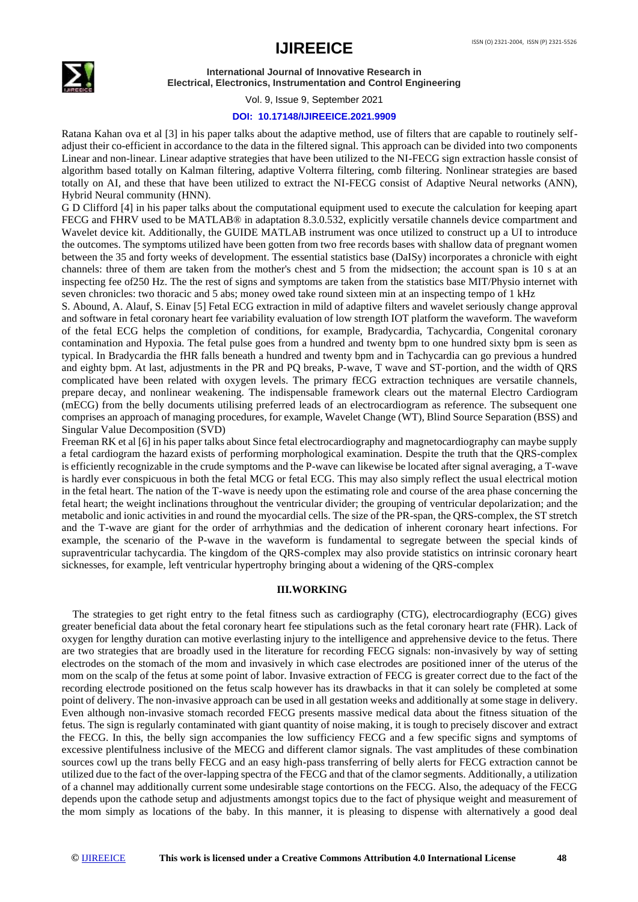# **IJIREEICE ISSN (O) 2321-2004, ISSN (P) 2321-5526**



**International Journal of Innovative Research in Electrical, Electronics, Instrumentation and Control Engineering**

Vol. 9, Issue 9, September 2021

#### **DOI: 10.17148/IJIREEICE.2021.9909**

Ratana Kahan ova et al [3] in his paper talks about the adaptive method, use of filters that are capable to routinely selfadjust their co-efficient in accordance to the data in the filtered signal. This approach can be divided into two components Linear and non-linear. Linear adaptive strategies that have been utilized to the NI-FECG sign extraction hassle consist of algorithm based totally on Kalman filtering, adaptive Volterra filtering, comb filtering. Nonlinear strategies are based totally on AI, and these that have been utilized to extract the NI-FECG consist of Adaptive Neural networks (ANN), Hybrid Neural community (HNN).

G D Clifford [4] in his paper talks about the computational equipment used to execute the calculation for keeping apart FECG and FHRV used to be MATLAB® in adaptation 8.3.0.532, explicitly versatile channels device compartment and Wavelet device kit. Additionally, the GUIDE MATLAB instrument was once utilized to construct up a UI to introduce the outcomes. The symptoms utilized have been gotten from two free records bases with shallow data of pregnant women between the 35 and forty weeks of development. The essential statistics base (DaISy) incorporates a chronicle with eight channels: three of them are taken from the mother's chest and 5 from the midsection; the account span is 10 s at an inspecting fee of250 Hz. The the rest of signs and symptoms are taken from the statistics base MIT/Physio internet with seven chronicles: two thoracic and 5 abs; money owed take round sixteen min at an inspecting tempo of 1 kHz

S. Abound, A. Alauf, S. Einav [5] Fetal ECG extraction in mild of adaptive filters and wavelet seriously change approval and software in fetal coronary heart fee variability evaluation of low strength IOT platform the waveform. The waveform of the fetal ECG helps the completion of conditions, for example, Bradycardia, Tachycardia, Congenital coronary contamination and Hypoxia. The fetal pulse goes from a hundred and twenty bpm to one hundred sixty bpm is seen as typical. In Bradycardia the fHR falls beneath a hundred and twenty bpm and in Tachycardia can go previous a hundred and eighty bpm. At last, adjustments in the PR and PQ breaks, P-wave, T wave and ST-portion, and the width of QRS complicated have been related with oxygen levels. The primary fECG extraction techniques are versatile channels, prepare decay, and nonlinear weakening. The indispensable framework clears out the maternal Electro Cardiogram (mECG) from the belly documents utilising preferred leads of an electrocardiogram as reference. The subsequent one comprises an approach of managing procedures, for example, Wavelet Change (WT), Blind Source Separation (BSS) and Singular Value Decomposition (SVD)

Freeman RK et al [6] in his paper talks about Since fetal electrocardiography and magnetocardiography can maybe supply a fetal cardiogram the hazard exists of performing morphological examination. Despite the truth that the QRS-complex is efficiently recognizable in the crude symptoms and the P-wave can likewise be located after signal averaging, a T-wave is hardly ever conspicuous in both the fetal MCG or fetal ECG. This may also simply reflect the usual electrical motion in the fetal heart. The nation of the T-wave is needy upon the estimating role and course of the area phase concerning the fetal heart; the weight inclinations throughout the ventricular divider; the grouping of ventricular depolarization; and the metabolic and ionic activities in and round the myocardial cells. The size of the PR-span, the QRS-complex, the ST stretch and the T-wave are giant for the order of arrhythmias and the dedication of inherent coronary heart infections. For example, the scenario of the P-wave in the waveform is fundamental to segregate between the special kinds of supraventricular tachycardia. The kingdom of the QRS-complex may also provide statistics on intrinsic coronary heart sicknesses, for example, left ventricular hypertrophy bringing about a widening of the QRS-complex

#### **III.WORKING**

 The strategies to get right entry to the fetal fitness such as cardiography (CTG), electrocardiography (ECG) gives greater beneficial data about the fetal coronary heart fee stipulations such as the fetal coronary heart rate (FHR). Lack of oxygen for lengthy duration can motive everlasting injury to the intelligence and apprehensive device to the fetus. There are two strategies that are broadly used in the literature for recording FECG signals: non-invasively by way of setting electrodes on the stomach of the mom and invasively in which case electrodes are positioned inner of the uterus of the mom on the scalp of the fetus at some point of labor. Invasive extraction of FECG is greater correct due to the fact of the recording electrode positioned on the fetus scalp however has its drawbacks in that it can solely be completed at some point of delivery. The non-invasive approach can be used in all gestation weeks and additionally at some stage in delivery. Even although non-invasive stomach recorded FECG presents massive medical data about the fitness situation of the fetus. The sign is regularly contaminated with giant quantity of noise making, it is tough to precisely discover and extract the FECG. In this, the belly sign accompanies the low sufficiency FECG and a few specific signs and symptoms of excessive plentifulness inclusive of the MECG and different clamor signals. The vast amplitudes of these combination sources cowl up the trans belly FECG and an easy high-pass transferring of belly alerts for FECG extraction cannot be utilized due to the fact of the over-lapping spectra of the FECG and that of the clamor segments. Additionally, a utilization of a channel may additionally current some undesirable stage contortions on the FECG. Also, the adequacy of the FECG depends upon the cathode setup and adjustments amongst topics due to the fact of physique weight and measurement of the mom simply as locations of the baby. In this manner, it is pleasing to dispense with alternatively a good deal